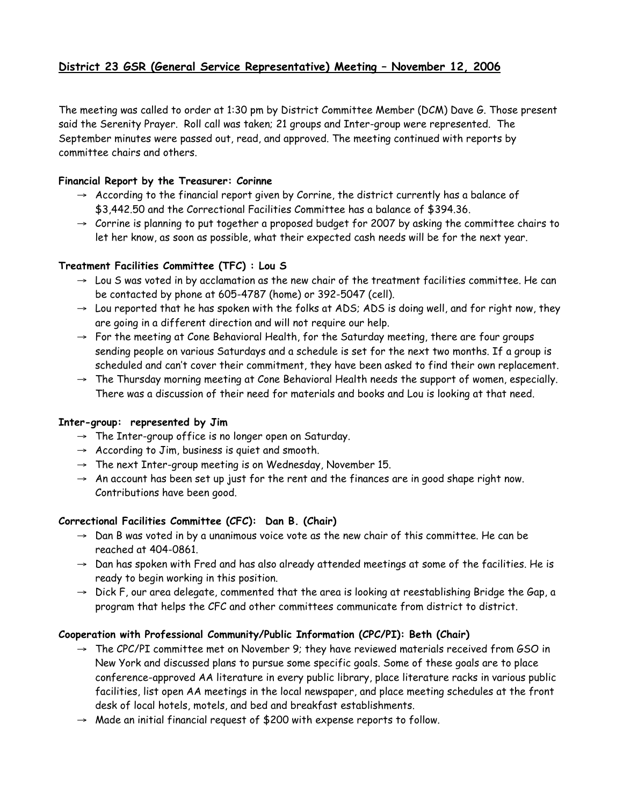# **District 23 GSR (General Service Representative) Meeting – November 12, 2006**

The meeting was called to order at 1:30 pm by District Committee Member (DCM) Dave G. Those present said the Serenity Prayer. Roll call was taken; 21 groups and Inter-group were represented. The September minutes were passed out, read, and approved. The meeting continued with reports by committee chairs and others.

### **Financial Report by the Treasurer: Corinne**

- $\rightarrow$  According to the financial report given by Corrine, the district currently has a balance of \$3,442.50 and the Correctional Facilities Committee has a balance of \$394.36.
- $\rightarrow$  Corrine is planning to put together a proposed budget for 2007 by asking the committee chairs to let her know, as soon as possible, what their expected cash needs will be for the next year.

# **Treatment Facilities Committee (TFC) : Lou S**

- $\rightarrow$  Lou S was voted in by acclamation as the new chair of the treatment facilities committee. He can be contacted by phone at 605-4787 (home) or 392-5047 (cell).
- $\rightarrow$  Lou reported that he has spoken with the folks at ADS; ADS is doing well, and for right now, they are going in a different direction and will not require our help.
- $\rightarrow$  For the meeting at Cone Behavioral Health, for the Saturday meeting, there are four groups sending people on various Saturdays and a schedule is set for the next two months. If a group is scheduled and can't cover their commitment, they have been asked to find their own replacement.
- $\rightarrow$  The Thursday morning meeting at Cone Behavioral Health needs the support of women, especially. There was a discussion of their need for materials and books and Lou is looking at that need.

# **Inter-group: represented by Jim**

- $\rightarrow$  The Inter-group office is no longer open on Saturday.
- $\rightarrow$  According to Jim, business is quiet and smooth.
- $\rightarrow$  The next Inter-group meeting is on Wednesday, November 15.
- $\rightarrow$  An account has been set up just for the rent and the finances are in good shape right now. Contributions have been good.

# **Correctional Facilities Committee (CFC): Dan B. (Chair)**

- $\rightarrow$  Dan B was voted in by a unanimous voice vote as the new chair of this committee. He can be reached at 404-0861.
- $\rightarrow$  Dan has spoken with Fred and has also already attended meetings at some of the facilities. He is ready to begin working in this position.
- $\rightarrow$  Dick F, our area delegate, commented that the area is looking at reestablishing Bridge the Gap, a program that helps the CFC and other committees communicate from district to district.

# **Cooperation with Professional Community/Public Information (CPC/PI): Beth (Chair)**

- $\rightarrow$  The CPC/PI committee met on November 9; they have reviewed materials received from GSO in New York and discussed plans to pursue some specific goals. Some of these goals are to place conference-approved AA literature in every public library, place literature racks in various public facilities, list open AA meetings in the local newspaper, and place meeting schedules at the front desk of local hotels, motels, and bed and breakfast establishments.
- $\rightarrow$  Made an initial financial request of \$200 with expense reports to follow.